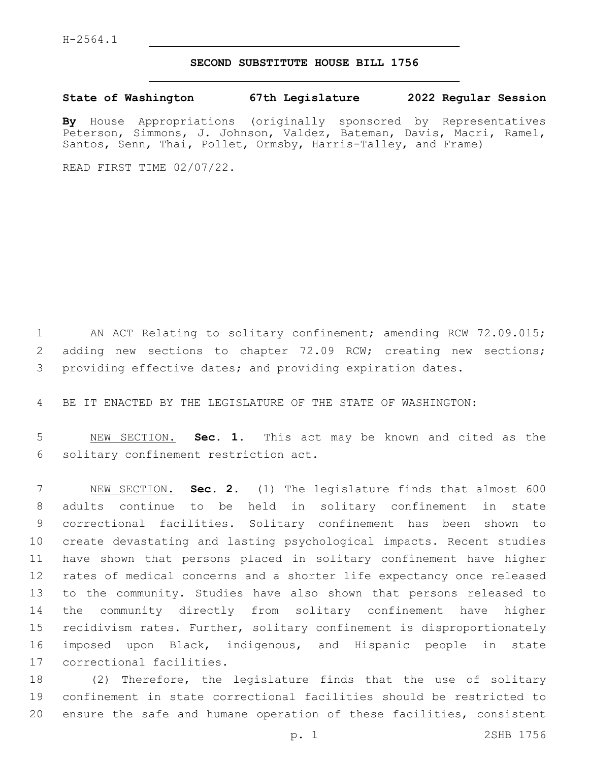## **SECOND SUBSTITUTE HOUSE BILL 1756**

**State of Washington 67th Legislature 2022 Regular Session**

**By** House Appropriations (originally sponsored by Representatives Peterson, Simmons, J. Johnson, Valdez, Bateman, Davis, Macri, Ramel, Santos, Senn, Thai, Pollet, Ormsby, Harris-Talley, and Frame)

READ FIRST TIME 02/07/22.

1 AN ACT Relating to solitary confinement; amending RCW 72.09.015; 2 adding new sections to chapter 72.09 RCW; creating new sections; providing effective dates; and providing expiration dates.

BE IT ENACTED BY THE LEGISLATURE OF THE STATE OF WASHINGTON:

 NEW SECTION. **Sec. 1.** This act may be known and cited as the solitary confinement restriction act.

 NEW SECTION. **Sec. 2.** (1) The legislature finds that almost 600 adults continue to be held in solitary confinement in state correctional facilities. Solitary confinement has been shown to create devastating and lasting psychological impacts. Recent studies have shown that persons placed in solitary confinement have higher rates of medical concerns and a shorter life expectancy once released to the community. Studies have also shown that persons released to the community directly from solitary confinement have higher recidivism rates. Further, solitary confinement is disproportionately imposed upon Black, indigenous, and Hispanic people in state correctional facilities.

 (2) Therefore, the legislature finds that the use of solitary confinement in state correctional facilities should be restricted to ensure the safe and humane operation of these facilities, consistent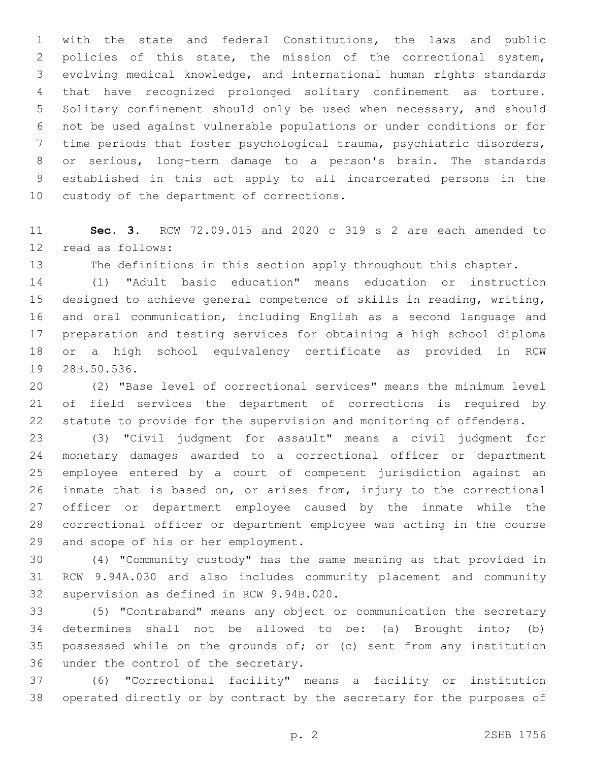with the state and federal Constitutions, the laws and public policies of this state, the mission of the correctional system, evolving medical knowledge, and international human rights standards that have recognized prolonged solitary confinement as torture. Solitary confinement should only be used when necessary, and should not be used against vulnerable populations or under conditions or for time periods that foster psychological trauma, psychiatric disorders, or serious, long-term damage to a person's brain. The standards established in this act apply to all incarcerated persons in the 10 custody of the department of corrections.

 **Sec. 3.** RCW 72.09.015 and 2020 c 319 s 2 are each amended to 12 read as follows:

The definitions in this section apply throughout this chapter.

 (1) "Adult basic education" means education or instruction designed to achieve general competence of skills in reading, writing, and oral communication, including English as a second language and preparation and testing services for obtaining a high school diploma or a high school equivalency certificate as provided in RCW 19 28B.50.536.

 (2) "Base level of correctional services" means the minimum level of field services the department of corrections is required by statute to provide for the supervision and monitoring of offenders.

 (3) "Civil judgment for assault" means a civil judgment for monetary damages awarded to a correctional officer or department employee entered by a court of competent jurisdiction against an inmate that is based on, or arises from, injury to the correctional officer or department employee caused by the inmate while the correctional officer or department employee was acting in the course 29 and scope of his or her employment.

 (4) "Community custody" has the same meaning as that provided in RCW 9.94A.030 and also includes community placement and community 32 supervision as defined in RCW 9.94B.020.

 (5) "Contraband" means any object or communication the secretary determines shall not be allowed to be: (a) Brought into; (b) possessed while on the grounds of; or (c) sent from any institution 36 under the control of the secretary.

 (6) "Correctional facility" means a facility or institution operated directly or by contract by the secretary for the purposes of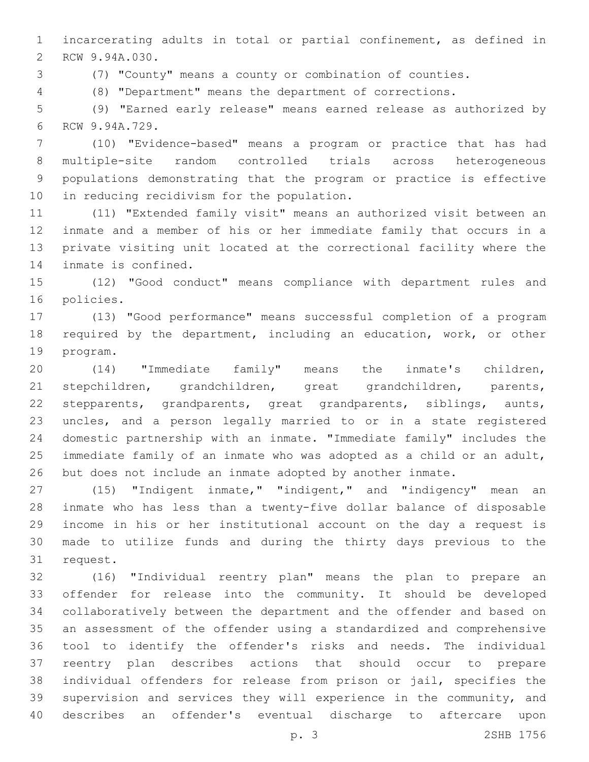incarcerating adults in total or partial confinement, as defined in 2 RCW 9.94A.030.

(7) "County" means a county or combination of counties.

(8) "Department" means the department of corrections.

 (9) "Earned early release" means earned release as authorized by 6 RCW 9.94A.729.

 (10) "Evidence-based" means a program or practice that has had multiple-site random controlled trials across heterogeneous populations demonstrating that the program or practice is effective 10 in reducing recidivism for the population.

 (11) "Extended family visit" means an authorized visit between an inmate and a member of his or her immediate family that occurs in a private visiting unit located at the correctional facility where the 14 inmate is confined.

 (12) "Good conduct" means compliance with department rules and 16 policies.

 (13) "Good performance" means successful completion of a program required by the department, including an education, work, or other 19 program.

 (14) "Immediate family" means the inmate's children, stepchildren, grandchildren, great grandchildren, parents, stepparents, grandparents, great grandparents, siblings, aunts, uncles, and a person legally married to or in a state registered domestic partnership with an inmate. "Immediate family" includes the immediate family of an inmate who was adopted as a child or an adult, but does not include an inmate adopted by another inmate.

 (15) "Indigent inmate," "indigent," and "indigency" mean an inmate who has less than a twenty-five dollar balance of disposable income in his or her institutional account on the day a request is made to utilize funds and during the thirty days previous to the 31 request.

 (16) "Individual reentry plan" means the plan to prepare an offender for release into the community. It should be developed collaboratively between the department and the offender and based on an assessment of the offender using a standardized and comprehensive tool to identify the offender's risks and needs. The individual reentry plan describes actions that should occur to prepare individual offenders for release from prison or jail, specifies the supervision and services they will experience in the community, and describes an offender's eventual discharge to aftercare upon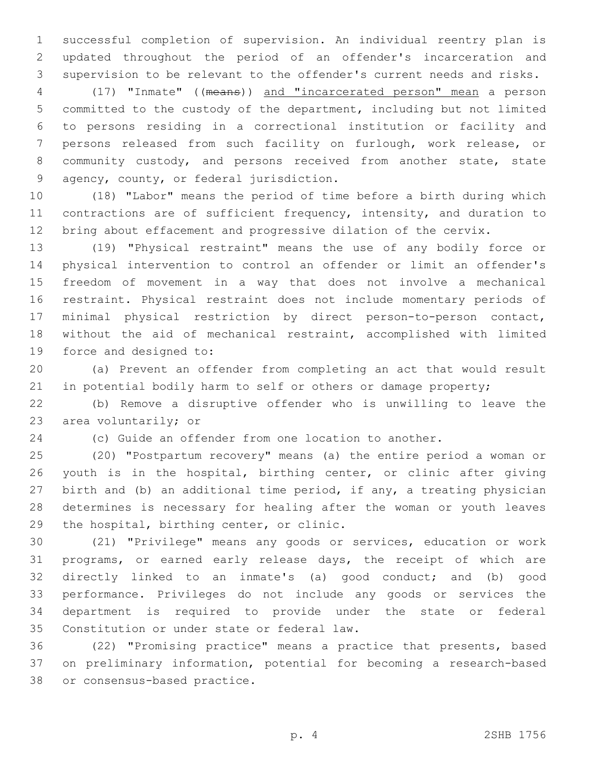successful completion of supervision. An individual reentry plan is updated throughout the period of an offender's incarceration and supervision to be relevant to the offender's current needs and risks.

 (17) "Inmate" ((means)) and "incarcerated person" mean a person committed to the custody of the department, including but not limited to persons residing in a correctional institution or facility and persons released from such facility on furlough, work release, or community custody, and persons received from another state, state 9 agency, county, or federal jurisdiction.

 (18) "Labor" means the period of time before a birth during which contractions are of sufficient frequency, intensity, and duration to bring about effacement and progressive dilation of the cervix.

 (19) "Physical restraint" means the use of any bodily force or physical intervention to control an offender or limit an offender's freedom of movement in a way that does not involve a mechanical restraint. Physical restraint does not include momentary periods of minimal physical restriction by direct person-to-person contact, without the aid of mechanical restraint, accomplished with limited 19 force and designed to:

 (a) Prevent an offender from completing an act that would result 21 in potential bodily harm to self or others or damage property;

 (b) Remove a disruptive offender who is unwilling to leave the 23 area voluntarily; or

(c) Guide an offender from one location to another.

 (20) "Postpartum recovery" means (a) the entire period a woman or youth is in the hospital, birthing center, or clinic after giving birth and (b) an additional time period, if any, a treating physician determines is necessary for healing after the woman or youth leaves 29 the hospital, birthing center, or clinic.

 (21) "Privilege" means any goods or services, education or work programs, or earned early release days, the receipt of which are directly linked to an inmate's (a) good conduct; and (b) good performance. Privileges do not include any goods or services the department is required to provide under the state or federal 35 Constitution or under state or federal law.

 (22) "Promising practice" means a practice that presents, based on preliminary information, potential for becoming a research-based 38 or consensus-based practice.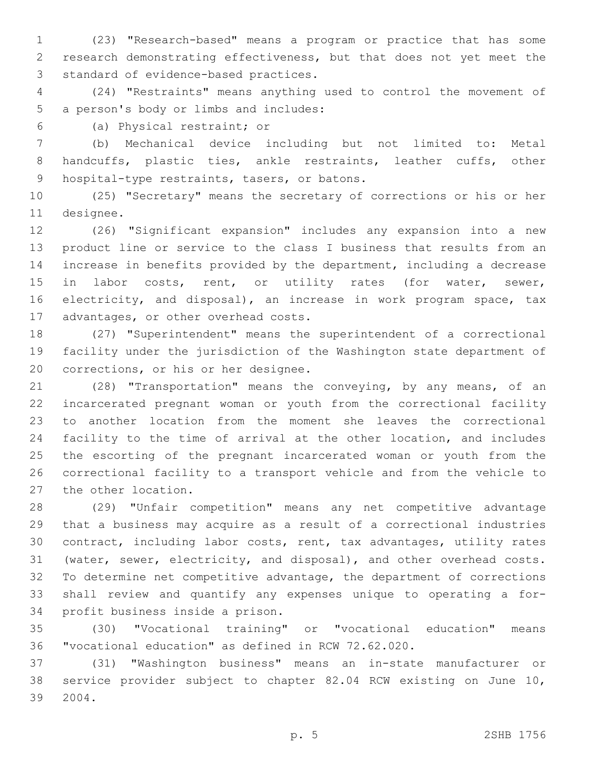(23) "Research-based" means a program or practice that has some research demonstrating effectiveness, but that does not yet meet the 3 standard of evidence-based practices.

 (24) "Restraints" means anything used to control the movement of 5 a person's body or limbs and includes:

(a) Physical restraint; or6

 (b) Mechanical device including but not limited to: Metal handcuffs, plastic ties, ankle restraints, leather cuffs, other 9 hospital-type restraints, tasers, or batons.

 (25) "Secretary" means the secretary of corrections or his or her 11 designee.

 (26) "Significant expansion" includes any expansion into a new product line or service to the class I business that results from an increase in benefits provided by the department, including a decrease 15 in labor costs, rent, or utility rates (for water, sewer, electricity, and disposal), an increase in work program space, tax 17 advantages, or other overhead costs.

 (27) "Superintendent" means the superintendent of a correctional facility under the jurisdiction of the Washington state department of 20 corrections, or his or her designee.

 (28) "Transportation" means the conveying, by any means, of an incarcerated pregnant woman or youth from the correctional facility to another location from the moment she leaves the correctional facility to the time of arrival at the other location, and includes the escorting of the pregnant incarcerated woman or youth from the correctional facility to a transport vehicle and from the vehicle to 27 the other location.

 (29) "Unfair competition" means any net competitive advantage that a business may acquire as a result of a correctional industries contract, including labor costs, rent, tax advantages, utility rates (water, sewer, electricity, and disposal), and other overhead costs. To determine net competitive advantage, the department of corrections shall review and quantify any expenses unique to operating a for-34 profit business inside a prison.

 (30) "Vocational training" or "vocational education" means "vocational education" as defined in RCW 72.62.020.

 (31) "Washington business" means an in-state manufacturer or service provider subject to chapter 82.04 RCW existing on June 10, 2004.39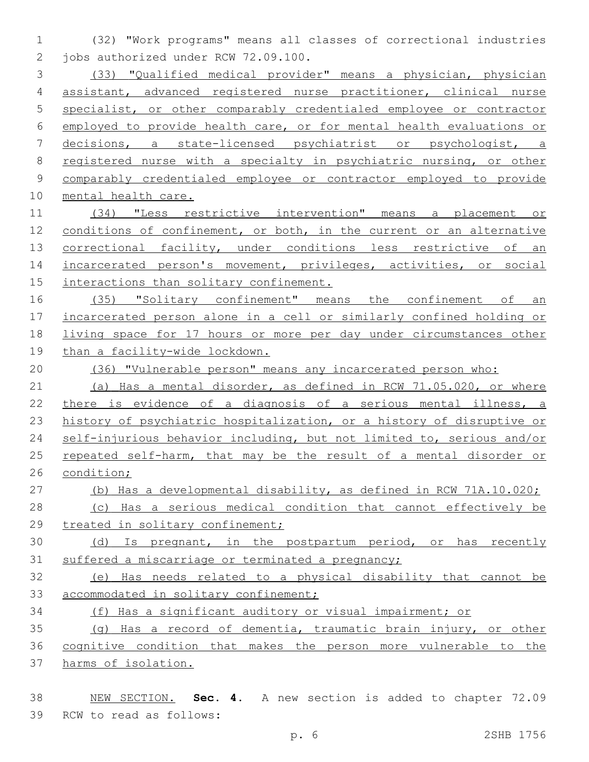(32) "Work programs" means all classes of correctional industries 2 jobs authorized under RCW 72.09.100.

 (33) "Qualified medical provider" means a physician, physician assistant, advanced registered nurse practitioner, clinical nurse specialist, or other comparably credentialed employee or contractor employed to provide health care, or for mental health evaluations or decisions, a state-licensed psychiatrist or psychologist, a registered nurse with a specialty in psychiatric nursing, or other comparably credentialed employee or contractor employed to provide mental health care.

 (34) "Less restrictive intervention" means a placement or conditions of confinement, or both, in the current or an alternative 13 correctional facility, under conditions less restrictive of an 14 incarcerated person's movement, privileges, activities, or social 15 interactions than solitary confinement.

 (35) "Solitary confinement" means the confinement of an incarcerated person alone in a cell or similarly confined holding or living space for 17 hours or more per day under circumstances other than a facility-wide lockdown.

(36) "Vulnerable person" means any incarcerated person who:

 (a) Has a mental disorder, as defined in RCW 71.05.020, or where there is evidence of a diagnosis of a serious mental illness, a history of psychiatric hospitalization, or a history of disruptive or self-injurious behavior including, but not limited to, serious and/or repeated self-harm, that may be the result of a mental disorder or condition;

(b) Has a developmental disability, as defined in RCW 71A.10.020;

 (c) Has a serious medical condition that cannot effectively be 29 treated in solitary confinement;

 (d) Is pregnant, in the postpartum period, or has recently suffered a miscarriage or terminated a pregnancy;

 (e) Has needs related to a physical disability that cannot be 33 accommodated in solitary confinement;

(f) Has a significant auditory or visual impairment; or

 (g) Has a record of dementia, traumatic brain injury, or other cognitive condition that makes the person more vulnerable to the harms of isolation.

 NEW SECTION. **Sec. 4.** A new section is added to chapter 72.09 39 RCW to read as follows: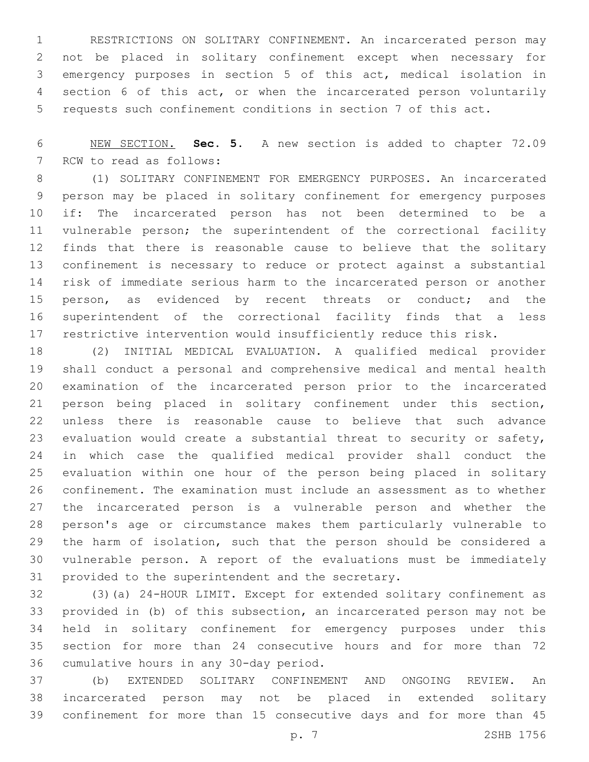RESTRICTIONS ON SOLITARY CONFINEMENT. An incarcerated person may not be placed in solitary confinement except when necessary for emergency purposes in section 5 of this act, medical isolation in section 6 of this act, or when the incarcerated person voluntarily requests such confinement conditions in section 7 of this act.

 NEW SECTION. **Sec. 5.** A new section is added to chapter 72.09 7 RCW to read as follows:

 (1) SOLITARY CONFINEMENT FOR EMERGENCY PURPOSES. An incarcerated person may be placed in solitary confinement for emergency purposes if: The incarcerated person has not been determined to be a vulnerable person; the superintendent of the correctional facility finds that there is reasonable cause to believe that the solitary confinement is necessary to reduce or protect against a substantial risk of immediate serious harm to the incarcerated person or another 15 person, as evidenced by recent threats or conduct; and the superintendent of the correctional facility finds that a less restrictive intervention would insufficiently reduce this risk.

 (2) INITIAL MEDICAL EVALUATION. A qualified medical provider shall conduct a personal and comprehensive medical and mental health examination of the incarcerated person prior to the incarcerated person being placed in solitary confinement under this section, unless there is reasonable cause to believe that such advance evaluation would create a substantial threat to security or safety, in which case the qualified medical provider shall conduct the evaluation within one hour of the person being placed in solitary confinement. The examination must include an assessment as to whether the incarcerated person is a vulnerable person and whether the person's age or circumstance makes them particularly vulnerable to the harm of isolation, such that the person should be considered a vulnerable person. A report of the evaluations must be immediately 31 provided to the superintendent and the secretary.

 (3)(a) 24-HOUR LIMIT. Except for extended solitary confinement as provided in (b) of this subsection, an incarcerated person may not be held in solitary confinement for emergency purposes under this section for more than 24 consecutive hours and for more than 72 36 cumulative hours in any 30-day period.

 (b) EXTENDED SOLITARY CONFINEMENT AND ONGOING REVIEW. An incarcerated person may not be placed in extended solitary confinement for more than 15 consecutive days and for more than 45

p. 7 2SHB 1756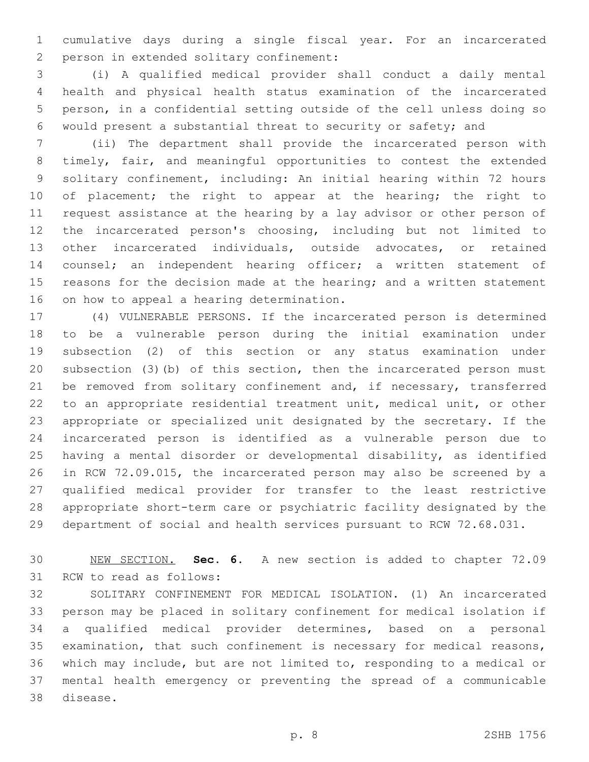cumulative days during a single fiscal year. For an incarcerated 2 person in extended solitary confinement:

 (i) A qualified medical provider shall conduct a daily mental health and physical health status examination of the incarcerated person, in a confidential setting outside of the cell unless doing so would present a substantial threat to security or safety; and

 (ii) The department shall provide the incarcerated person with timely, fair, and meaningful opportunities to contest the extended solitary confinement, including: An initial hearing within 72 hours 10 of placement; the right to appear at the hearing; the right to request assistance at the hearing by a lay advisor or other person of the incarcerated person's choosing, including but not limited to other incarcerated individuals, outside advocates, or retained counsel; an independent hearing officer; a written statement of 15 reasons for the decision made at the hearing; and a written statement 16 on how to appeal a hearing determination.

 (4) VULNERABLE PERSONS. If the incarcerated person is determined to be a vulnerable person during the initial examination under subsection (2) of this section or any status examination under subsection (3)(b) of this section, then the incarcerated person must 21 be removed from solitary confinement and, if necessary, transferred to an appropriate residential treatment unit, medical unit, or other appropriate or specialized unit designated by the secretary. If the incarcerated person is identified as a vulnerable person due to having a mental disorder or developmental disability, as identified in RCW 72.09.015, the incarcerated person may also be screened by a qualified medical provider for transfer to the least restrictive appropriate short-term care or psychiatric facility designated by the department of social and health services pursuant to RCW 72.68.031.

 NEW SECTION. **Sec. 6.** A new section is added to chapter 72.09 31 RCW to read as follows:

 SOLITARY CONFINEMENT FOR MEDICAL ISOLATION. (1) An incarcerated person may be placed in solitary confinement for medical isolation if a qualified medical provider determines, based on a personal examination, that such confinement is necessary for medical reasons, which may include, but are not limited to, responding to a medical or mental health emergency or preventing the spread of a communicable 38 disease.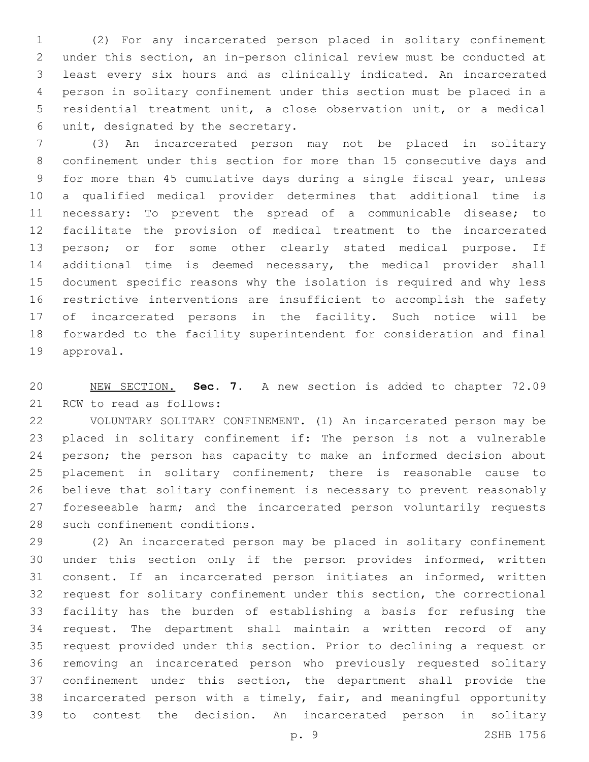(2) For any incarcerated person placed in solitary confinement under this section, an in-person clinical review must be conducted at least every six hours and as clinically indicated. An incarcerated person in solitary confinement under this section must be placed in a residential treatment unit, a close observation unit, or a medical unit, designated by the secretary.6

 (3) An incarcerated person may not be placed in solitary confinement under this section for more than 15 consecutive days and for more than 45 cumulative days during a single fiscal year, unless a qualified medical provider determines that additional time is necessary: To prevent the spread of a communicable disease; to facilitate the provision of medical treatment to the incarcerated person; or for some other clearly stated medical purpose. If additional time is deemed necessary, the medical provider shall document specific reasons why the isolation is required and why less restrictive interventions are insufficient to accomplish the safety of incarcerated persons in the facility. Such notice will be forwarded to the facility superintendent for consideration and final 19 approval.

 NEW SECTION. **Sec. 7.** A new section is added to chapter 72.09 21 RCW to read as follows:

 VOLUNTARY SOLITARY CONFINEMENT. (1) An incarcerated person may be placed in solitary confinement if: The person is not a vulnerable person; the person has capacity to make an informed decision about placement in solitary confinement; there is reasonable cause to believe that solitary confinement is necessary to prevent reasonably 27 foreseeable harm; and the incarcerated person voluntarily requests 28 such confinement conditions.

 (2) An incarcerated person may be placed in solitary confinement under this section only if the person provides informed, written consent. If an incarcerated person initiates an informed, written request for solitary confinement under this section, the correctional facility has the burden of establishing a basis for refusing the request. The department shall maintain a written record of any request provided under this section. Prior to declining a request or removing an incarcerated person who previously requested solitary confinement under this section, the department shall provide the incarcerated person with a timely, fair, and meaningful opportunity to contest the decision. An incarcerated person in solitary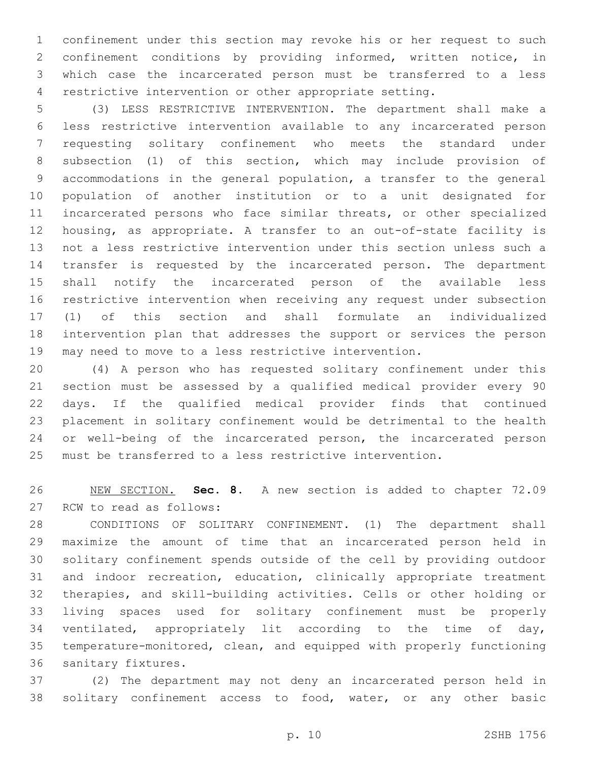confinement under this section may revoke his or her request to such confinement conditions by providing informed, written notice, in which case the incarcerated person must be transferred to a less restrictive intervention or other appropriate setting.

 (3) LESS RESTRICTIVE INTERVENTION. The department shall make a less restrictive intervention available to any incarcerated person requesting solitary confinement who meets the standard under subsection (1) of this section, which may include provision of accommodations in the general population, a transfer to the general population of another institution or to a unit designated for incarcerated persons who face similar threats, or other specialized housing, as appropriate. A transfer to an out-of-state facility is not a less restrictive intervention under this section unless such a transfer is requested by the incarcerated person. The department shall notify the incarcerated person of the available less restrictive intervention when receiving any request under subsection (1) of this section and shall formulate an individualized intervention plan that addresses the support or services the person may need to move to a less restrictive intervention.

 (4) A person who has requested solitary confinement under this section must be assessed by a qualified medical provider every 90 days. If the qualified medical provider finds that continued placement in solitary confinement would be detrimental to the health or well-being of the incarcerated person, the incarcerated person must be transferred to a less restrictive intervention.

 NEW SECTION. **Sec. 8.** A new section is added to chapter 72.09 27 RCW to read as follows:

 CONDITIONS OF SOLITARY CONFINEMENT. (1) The department shall maximize the amount of time that an incarcerated person held in solitary confinement spends outside of the cell by providing outdoor and indoor recreation, education, clinically appropriate treatment therapies, and skill-building activities. Cells or other holding or living spaces used for solitary confinement must be properly ventilated, appropriately lit according to the time of day, temperature-monitored, clean, and equipped with properly functioning 36 sanitary fixtures.

 (2) The department may not deny an incarcerated person held in solitary confinement access to food, water, or any other basic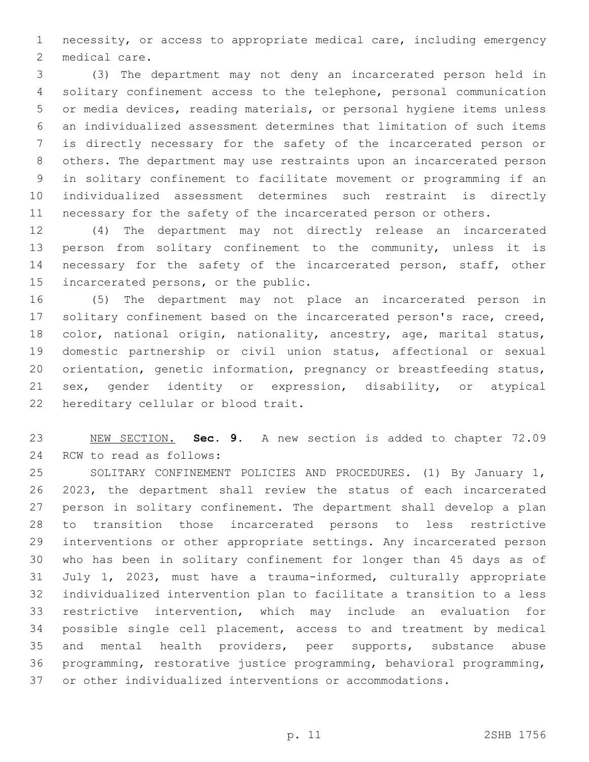necessity, or access to appropriate medical care, including emergency 2 medical care.

 (3) The department may not deny an incarcerated person held in solitary confinement access to the telephone, personal communication or media devices, reading materials, or personal hygiene items unless an individualized assessment determines that limitation of such items is directly necessary for the safety of the incarcerated person or others. The department may use restraints upon an incarcerated person in solitary confinement to facilitate movement or programming if an individualized assessment determines such restraint is directly necessary for the safety of the incarcerated person or others.

 (4) The department may not directly release an incarcerated person from solitary confinement to the community, unless it is 14 necessary for the safety of the incarcerated person, staff, other 15 incarcerated persons, or the public.

 (5) The department may not place an incarcerated person in solitary confinement based on the incarcerated person's race, creed, 18 color, national origin, nationality, ancestry, age, marital status, domestic partnership or civil union status, affectional or sexual orientation, genetic information, pregnancy or breastfeeding status, sex, gender identity or expression, disability, or atypical 22 hereditary cellular or blood trait.

 NEW SECTION. **Sec. 9.** A new section is added to chapter 72.09 24 RCW to read as follows:

 SOLITARY CONFINEMENT POLICIES AND PROCEDURES. (1) By January 1, 2023, the department shall review the status of each incarcerated person in solitary confinement. The department shall develop a plan to transition those incarcerated persons to less restrictive interventions or other appropriate settings. Any incarcerated person who has been in solitary confinement for longer than 45 days as of July 1, 2023, must have a trauma-informed, culturally appropriate individualized intervention plan to facilitate a transition to a less restrictive intervention, which may include an evaluation for possible single cell placement, access to and treatment by medical and mental health providers, peer supports, substance abuse programming, restorative justice programming, behavioral programming, or other individualized interventions or accommodations.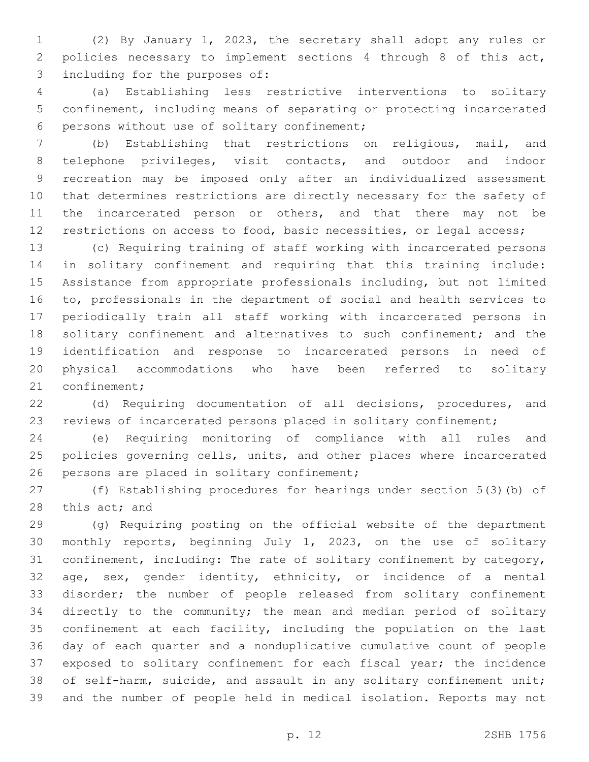(2) By January 1, 2023, the secretary shall adopt any rules or policies necessary to implement sections 4 through 8 of this act, 3 including for the purposes of:

 (a) Establishing less restrictive interventions to solitary confinement, including means of separating or protecting incarcerated 6 persons without use of solitary confinement;

 (b) Establishing that restrictions on religious, mail, and telephone privileges, visit contacts, and outdoor and indoor recreation may be imposed only after an individualized assessment that determines restrictions are directly necessary for the safety of 11 the incarcerated person or others, and that there may not be restrictions on access to food, basic necessities, or legal access;

 (c) Requiring training of staff working with incarcerated persons in solitary confinement and requiring that this training include: Assistance from appropriate professionals including, but not limited to, professionals in the department of social and health services to periodically train all staff working with incarcerated persons in 18 solitary confinement and alternatives to such confinement; and the identification and response to incarcerated persons in need of physical accommodations who have been referred to solitary 21 confinement;

 (d) Requiring documentation of all decisions, procedures, and reviews of incarcerated persons placed in solitary confinement;

 (e) Requiring monitoring of compliance with all rules and policies governing cells, units, and other places where incarcerated 26 persons are placed in solitary confinement;

 (f) Establishing procedures for hearings under section 5(3)(b) of 28 this act; and

 (g) Requiring posting on the official website of the department monthly reports, beginning July 1, 2023, on the use of solitary confinement, including: The rate of solitary confinement by category, age, sex, gender identity, ethnicity, or incidence of a mental disorder; the number of people released from solitary confinement directly to the community; the mean and median period of solitary confinement at each facility, including the population on the last day of each quarter and a nonduplicative cumulative count of people exposed to solitary confinement for each fiscal year; the incidence of self-harm, suicide, and assault in any solitary confinement unit; and the number of people held in medical isolation. Reports may not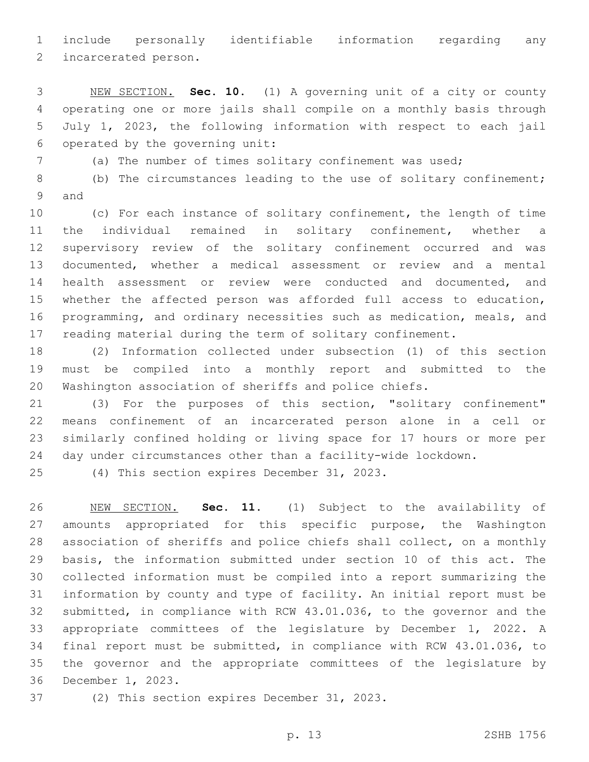include personally identifiable information regarding any

2 incarcerated person.

 NEW SECTION. **Sec. 10.** (1) A governing unit of a city or county operating one or more jails shall compile on a monthly basis through July 1, 2023, the following information with respect to each jail operated by the governing unit:

(a) The number of times solitary confinement was used;

 (b) The circumstances leading to the use of solitary confinement; 9 and

 (c) For each instance of solitary confinement, the length of time the individual remained in solitary confinement, whether a supervisory review of the solitary confinement occurred and was documented, whether a medical assessment or review and a mental health assessment or review were conducted and documented, and whether the affected person was afforded full access to education, programming, and ordinary necessities such as medication, meals, and reading material during the term of solitary confinement.

 (2) Information collected under subsection (1) of this section must be compiled into a monthly report and submitted to the Washington association of sheriffs and police chiefs.

 (3) For the purposes of this section, "solitary confinement" means confinement of an incarcerated person alone in a cell or similarly confined holding or living space for 17 hours or more per day under circumstances other than a facility-wide lockdown.

(4) This section expires December 31, 2023.

 NEW SECTION. **Sec. 11.** (1) Subject to the availability of amounts appropriated for this specific purpose, the Washington association of sheriffs and police chiefs shall collect, on a monthly basis, the information submitted under section 10 of this act. The collected information must be compiled into a report summarizing the information by county and type of facility. An initial report must be submitted, in compliance with RCW 43.01.036, to the governor and the appropriate committees of the legislature by December 1, 2022. A final report must be submitted, in compliance with RCW 43.01.036, to the governor and the appropriate committees of the legislature by December 1, 2023.

37 (2) This section expires December 31, 2023.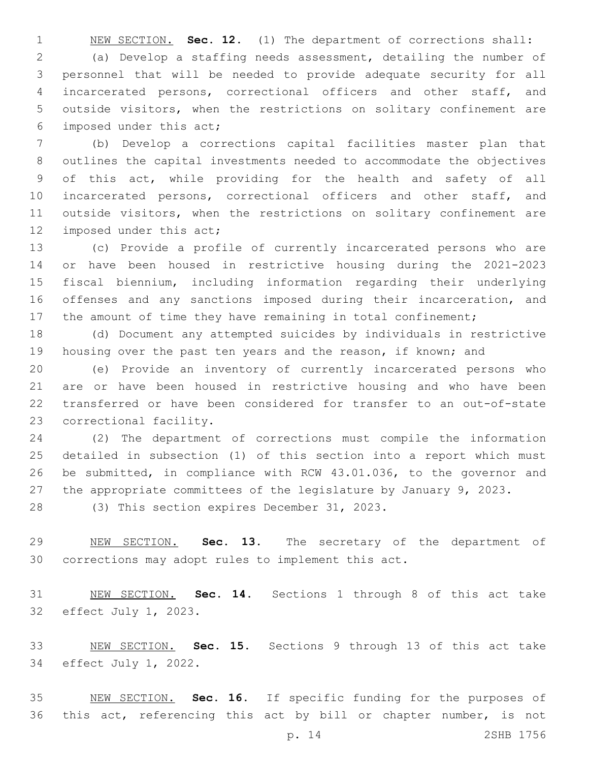NEW SECTION. **Sec. 12.** (1) The department of corrections shall: (a) Develop a staffing needs assessment, detailing the number of personnel that will be needed to provide adequate security for all incarcerated persons, correctional officers and other staff, and outside visitors, when the restrictions on solitary confinement are 6 imposed under this act;

 (b) Develop a corrections capital facilities master plan that outlines the capital investments needed to accommodate the objectives of this act, while providing for the health and safety of all 10 incarcerated persons, correctional officers and other staff, and outside visitors, when the restrictions on solitary confinement are 12 imposed under this act;

 (c) Provide a profile of currently incarcerated persons who are or have been housed in restrictive housing during the 2021-2023 fiscal biennium, including information regarding their underlying offenses and any sanctions imposed during their incarceration, and 17 the amount of time they have remaining in total confinement;

 (d) Document any attempted suicides by individuals in restrictive housing over the past ten years and the reason, if known; and

 (e) Provide an inventory of currently incarcerated persons who are or have been housed in restrictive housing and who have been transferred or have been considered for transfer to an out-of-state 23 correctional facility.

 (2) The department of corrections must compile the information detailed in subsection (1) of this section into a report which must be submitted, in compliance with RCW 43.01.036, to the governor and the appropriate committees of the legislature by January 9, 2023.

28 (3) This section expires December 31, 2023.

 NEW SECTION. **Sec. 13.** The secretary of the department of corrections may adopt rules to implement this act.

 NEW SECTION. **Sec. 14.** Sections 1 through 8 of this act take 32 effect July 1, 2023.

 NEW SECTION. **Sec. 15.** Sections 9 through 13 of this act take 34 effect July 1, 2022.

 NEW SECTION. **Sec. 16.** If specific funding for the purposes of this act, referencing this act by bill or chapter number, is not